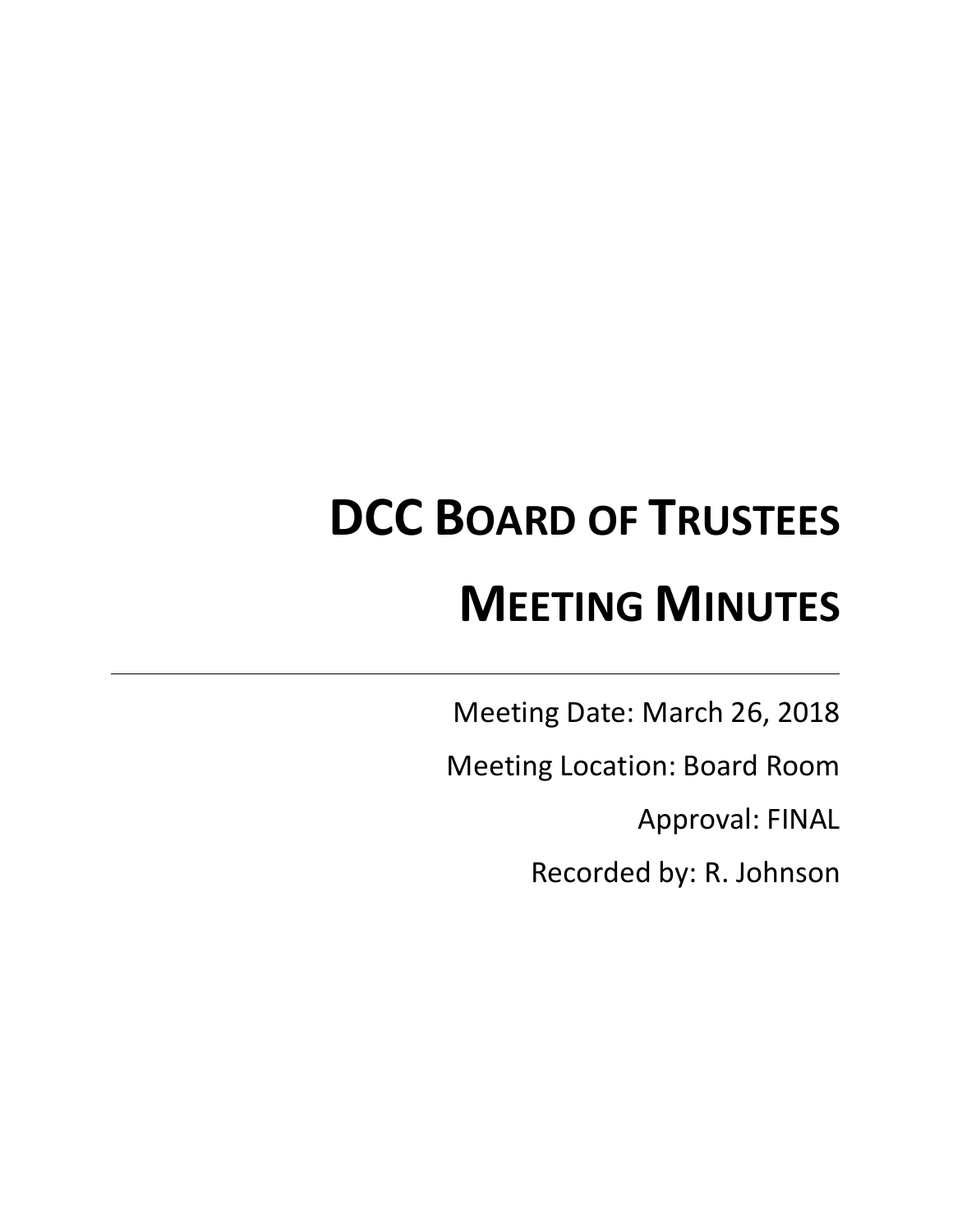# **DCC BOARD OF TRUSTEES MEETING MINUTES**

Meeting Date: March 26, 2018

Meeting Location: Board Room

Approval: FINAL

Recorded by: R. Johnson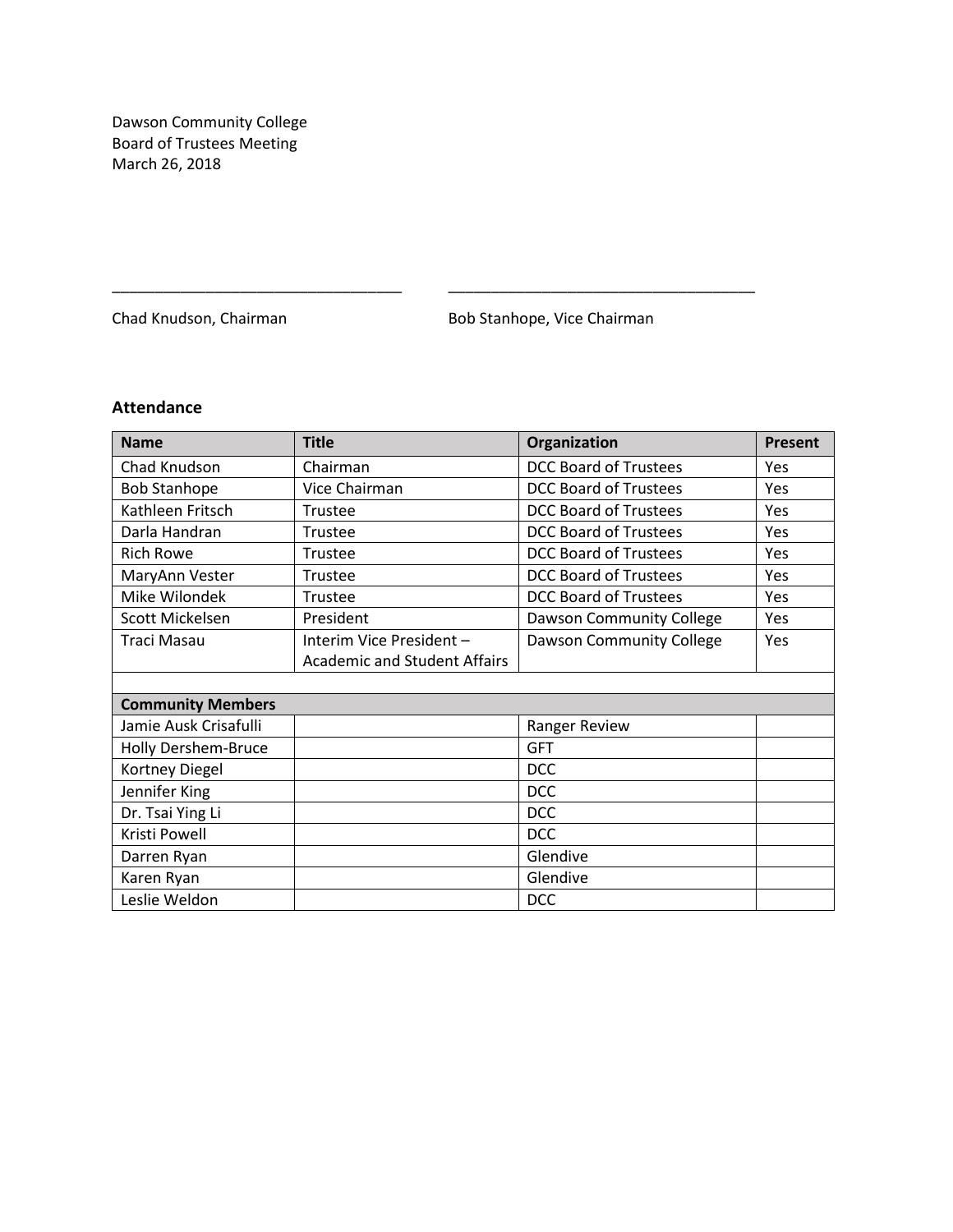Dawson Community College Board of Trustees Meeting March 26, 2018

Chad Knudson, Chairman **Bob Stanhope**, Vice Chairman

# **Attendance**

| <b>Name</b>              | <b>Title</b>                        | Organization                 | <b>Present</b> |
|--------------------------|-------------------------------------|------------------------------|----------------|
| Chad Knudson             | Chairman                            | <b>DCC Board of Trustees</b> | Yes            |
| <b>Bob Stanhope</b>      | Vice Chairman                       | <b>DCC Board of Trustees</b> | <b>Yes</b>     |
| Kathleen Fritsch         | Trustee                             | <b>DCC Board of Trustees</b> | Yes            |
| Darla Handran            | Trustee                             | <b>DCC Board of Trustees</b> | Yes            |
| <b>Rich Rowe</b>         | Trustee                             | <b>DCC Board of Trustees</b> | Yes            |
| MaryAnn Vester           | Trustee                             | <b>DCC Board of Trustees</b> | Yes            |
| Mike Wilondek            | Trustee                             | <b>DCC Board of Trustees</b> | Yes            |
| Scott Mickelsen          | President                           | Dawson Community College     | Yes            |
| <b>Traci Masau</b>       | Interim Vice President-             | Dawson Community College     | Yes            |
|                          | <b>Academic and Student Affairs</b> |                              |                |
|                          |                                     |                              |                |
| <b>Community Members</b> |                                     |                              |                |
| Jamie Ausk Crisafulli    |                                     | Ranger Review                |                |
| Holly Dershem-Bruce      |                                     | <b>GFT</b>                   |                |
| Kortney Diegel           |                                     | <b>DCC</b>                   |                |
| Jennifer King            |                                     | <b>DCC</b>                   |                |
| Dr. Tsai Ying Li         |                                     | <b>DCC</b>                   |                |
| Kristi Powell            |                                     | <b>DCC</b>                   |                |
| Darren Ryan              |                                     | Glendive                     |                |
| Karen Ryan               |                                     | Glendive                     |                |
| Leslie Weldon            |                                     | <b>DCC</b>                   |                |

\_\_\_\_\_\_\_\_\_\_\_\_\_\_\_\_\_\_\_\_\_\_\_\_\_\_\_\_\_\_\_\_\_\_ \_\_\_\_\_\_\_\_\_\_\_\_\_\_\_\_\_\_\_\_\_\_\_\_\_\_\_\_\_\_\_\_\_\_\_\_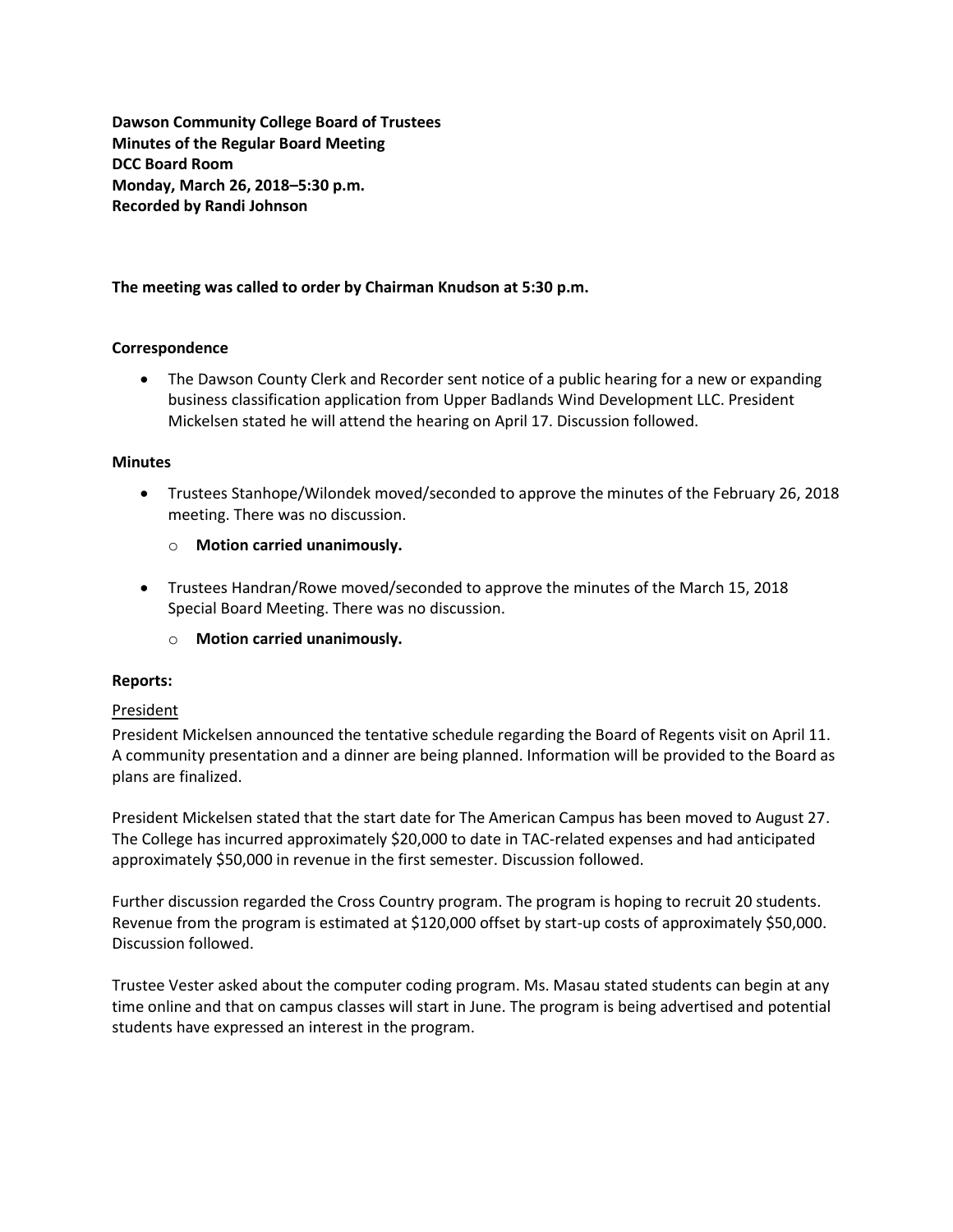**Dawson Community College Board of Trustees Minutes of the Regular Board Meeting DCC Board Room Monday, March 26, 2018–5:30 p.m. Recorded by Randi Johnson**

# **The meeting was called to order by Chairman Knudson at 5:30 p.m.**

#### **Correspondence**

• The Dawson County Clerk and Recorder sent notice of a public hearing for a new or expanding business classification application from Upper Badlands Wind Development LLC. President Mickelsen stated he will attend the hearing on April 17. Discussion followed.

#### **Minutes**

- Trustees Stanhope/Wilondek moved/seconded to approve the minutes of the February 26, 2018 meeting. There was no discussion.
	- o **Motion carried unanimously.**
- Trustees Handran/Rowe moved/seconded to approve the minutes of the March 15, 2018 Special Board Meeting. There was no discussion.
	- o **Motion carried unanimously.**

#### **Reports:**

#### **President**

President Mickelsen announced the tentative schedule regarding the Board of Regents visit on April 11. A community presentation and a dinner are being planned. Information will be provided to the Board as plans are finalized.

President Mickelsen stated that the start date for The American Campus has been moved to August 27. The College has incurred approximately \$20,000 to date in TAC-related expenses and had anticipated approximately \$50,000 in revenue in the first semester. Discussion followed.

Further discussion regarded the Cross Country program. The program is hoping to recruit 20 students. Revenue from the program is estimated at \$120,000 offset by start-up costs of approximately \$50,000. Discussion followed.

Trustee Vester asked about the computer coding program. Ms. Masau stated students can begin at any time online and that on campus classes will start in June. The program is being advertised and potential students have expressed an interest in the program.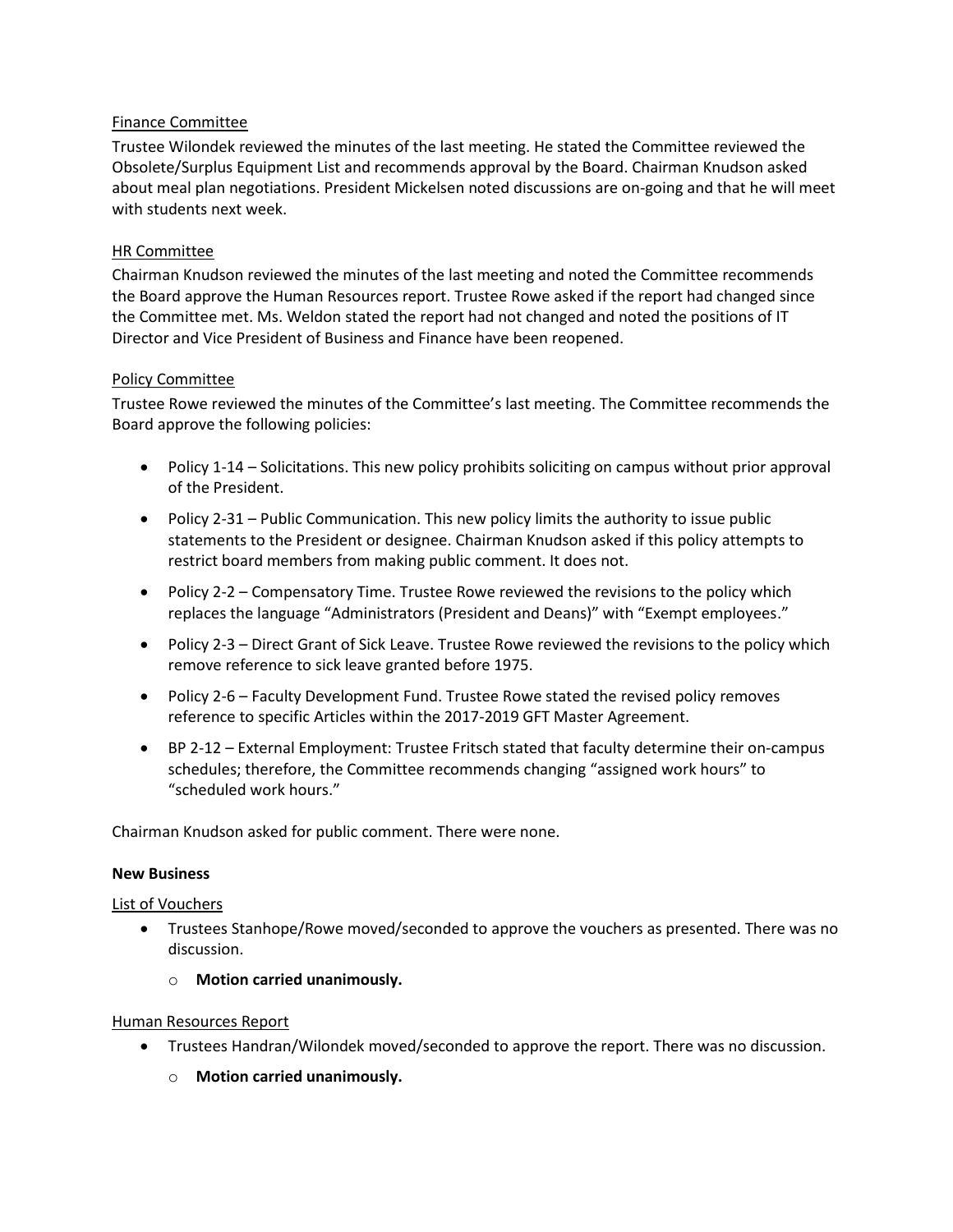# Finance Committee

Trustee Wilondek reviewed the minutes of the last meeting. He stated the Committee reviewed the Obsolete/Surplus Equipment List and recommends approval by the Board. Chairman Knudson asked about meal plan negotiations. President Mickelsen noted discussions are on-going and that he will meet with students next week.

# HR Committee

Chairman Knudson reviewed the minutes of the last meeting and noted the Committee recommends the Board approve the Human Resources report. Trustee Rowe asked if the report had changed since the Committee met. Ms. Weldon stated the report had not changed and noted the positions of IT Director and Vice President of Business and Finance have been reopened.

#### Policy Committee

Trustee Rowe reviewed the minutes of the Committee's last meeting. The Committee recommends the Board approve the following policies:

- Policy 1-14 Solicitations. This new policy prohibits soliciting on campus without prior approval of the President.
- Policy 2-31 Public Communication. This new policy limits the authority to issue public statements to the President or designee. Chairman Knudson asked if this policy attempts to restrict board members from making public comment. It does not.
- Policy 2-2 Compensatory Time. Trustee Rowe reviewed the revisions to the policy which replaces the language "Administrators (President and Deans)" with "Exempt employees."
- Policy 2-3 Direct Grant of Sick Leave. Trustee Rowe reviewed the revisions to the policy which remove reference to sick leave granted before 1975.
- Policy 2-6 Faculty Development Fund. Trustee Rowe stated the revised policy removes reference to specific Articles within the 2017-2019 GFT Master Agreement.
- BP 2-12 External Employment: Trustee Fritsch stated that faculty determine their on-campus schedules; therefore, the Committee recommends changing "assigned work hours" to "scheduled work hours."

Chairman Knudson asked for public comment. There were none.

#### **New Business**

#### List of Vouchers

- Trustees Stanhope/Rowe moved/seconded to approve the vouchers as presented. There was no discussion.
	- o **Motion carried unanimously.**

#### Human Resources Report

- Trustees Handran/Wilondek moved/seconded to approve the report. There was no discussion.
	- o **Motion carried unanimously.**